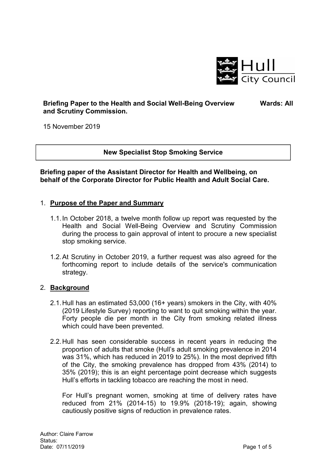

## **Briefing Paper to the Health and Social Well-Being Overview and Scrutiny Commission.**

 **Wards: All** 

15 November 2019

### **New Specialist Stop Smoking Service**

**Briefing paper of the Assistant Director for Health and Wellbeing, on behalf of the Corporate Director for Public Health and Adult Social Care.** 

### 1. **Purpose of the Paper and Summary**

- 1.1. In October 2018, a twelve month follow up report was requested by the Health and Social Well-Being Overview and Scrutiny Commission during the process to gain approval of intent to procure a new specialist stop smoking service.
- 1.2. At Scrutiny in October 2019, a further request was also agreed for the forthcoming report to include details of the service's communication strategy.

### 2. **Background**

- 2.1. Hull has an estimated 53,000 (16+ years) smokers in the City, with 40% (2019 Lifestyle Survey) reporting to want to quit smoking within the year. Forty people die per month in the City from smoking related illness which could have been prevented.
- 2.2. Hull has seen considerable success in recent years in reducing the proportion of adults that smoke (Hull's adult smoking prevalence in 2014 was 31%, which has reduced in 2019 to 25%). In the most deprived fifth of the City, the smoking prevalence has dropped from 43% (2014) to 35% (2019); this is an eight percentage point decrease which suggests Hull's efforts in tackling tobacco are reaching the most in need.

For Hull's pregnant women, smoking at time of delivery rates have reduced from 21% (2014-15) to 19.9% (2018-19); again, showing cautiously positive signs of reduction in prevalence rates.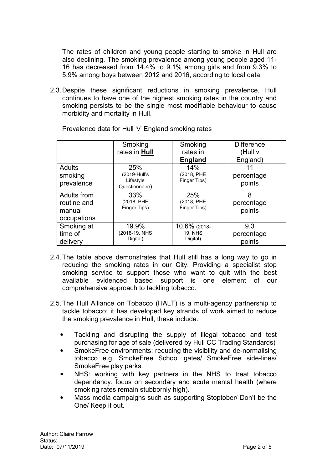The rates of children and young people starting to smoke in Hull are also declining. The smoking prevalence among young people aged 11- 16 has decreased from 14.4% to 9.1% among girls and from 9.3% to 5.9% among boys between 2012 and 2016, according to local data.

2.3. Despite these significant reductions in smoking prevalence, Hull continues to have one of the highest smoking rates in the country and smoking persists to be the single most modifiable behaviour to cause morbidity and mortality in Hull.

|                                                     | Smoking                                            | Smoking                                    | <b>Difference</b>           |
|-----------------------------------------------------|----------------------------------------------------|--------------------------------------------|-----------------------------|
|                                                     | rates in Hull                                      | rates in                                   | (Hull v                     |
|                                                     |                                                    | <b>England</b>                             | England)                    |
| <b>Adults</b><br>smoking<br>prevalence              | 25%<br>(2019-Hull's<br>Lifestyle<br>Questionnaire) | 14%<br>(2018, PHE<br>Finger Tips)          | percentage<br>points        |
| Adults from<br>routine and<br>manual<br>occupations | 33%<br>(2018, PHE<br>Finger Tips)                  | 25%<br>(2018, PHE<br>Finger Tips)          | 8<br>percentage<br>points   |
| Smoking at<br>time of<br>delivery                   | 19.9%<br>(2018-19, NHS<br>Digital)                 | 10.6% (2018-<br><b>19, NHS</b><br>Digital) | 9.3<br>percentage<br>points |

Prevalence data for Hull 'v' England smoking rates

- 2.4. The table above demonstrates that Hull still has a long way to go in reducing the smoking rates in our City. Providing a specialist stop smoking service to support those who want to quit with the best available evidenced based support is one element of our comprehensive approach to tackling tobacco.
- 2.5. The Hull Alliance on Tobacco (HALT) is a multi-agency partnership to tackle tobacco; it has developed key strands of work aimed to reduce the smoking prevalence in Hull, these include:
	- Tackling and disrupting the supply of illegal tobacco and test purchasing for age of sale (delivered by Hull CC Trading Standards)
	- SmokeFree environments: reducing the visibility and de-normalising tobacco e.g. SmokeFree School gates/ SmokeFree side-lines/ SmokeFree play parks.
	- NHS: working with key partners in the NHS to treat tobacco dependency: focus on secondary and acute mental health (where smoking rates remain stubbornly high).
	- Mass media campaigns such as supporting Stoptober/ Don't be the One/ Keep it out.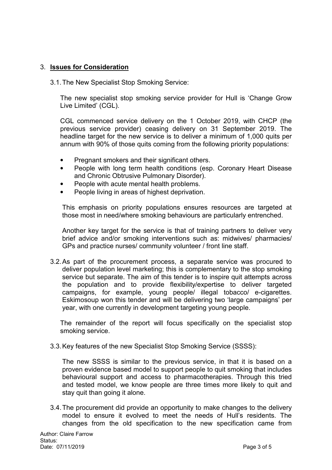## 3. **Issues for Consideration**

3.1. The New Specialist Stop Smoking Service:

The new specialist stop smoking service provider for Hull is 'Change Grow Live Limited' (CGL).

CGL commenced service delivery on the 1 October 2019, with CHCP (the previous service provider) ceasing delivery on 31 September 2019. The headline target for the new service is to deliver a minimum of 1,000 quits per annum with 90% of those quits coming from the following priority populations:

- Pregnant smokers and their significant others.
- People with long term health conditions (esp. Coronary Heart Disease and Chronic Obtrusive Pulmonary Disorder).
- People with acute mental health problems.
- People living in areas of highest deprivation.

This emphasis on priority populations ensures resources are targeted at those most in need/where smoking behaviours are particularly entrenched.

Another key target for the service is that of training partners to deliver very brief advice and/or smoking interventions such as: midwives/ pharmacies/ GPs and practice nurses/ community volunteer / front line staff.

3.2. As part of the procurement process, a separate service was procured to deliver population level marketing; this is complementary to the stop smoking service but separate. The aim of this tender is to inspire quit attempts across the population and to provide flexibility/expertise to deliver targeted campaigns, for example, young people/ illegal tobacco/ e-cigarettes. Eskimosoup won this tender and will be delivering two 'large campaigns' per year, with one currently in development targeting young people.

The remainder of the report will focus specifically on the specialist stop smoking service.

3.3. Key features of the new Specialist Stop Smoking Service (SSSS):

The new SSSS is similar to the previous service, in that it is based on a proven evidence based model to support people to quit smoking that includes behavioural support and access to pharmacotherapies. Through this tried and tested model, we know people are three times more likely to quit and stay quit than going it alone.

3.4. The procurement did provide an opportunity to make changes to the delivery model to ensure it evolved to meet the needs of Hull's residents. The changes from the old specification to the new specification came from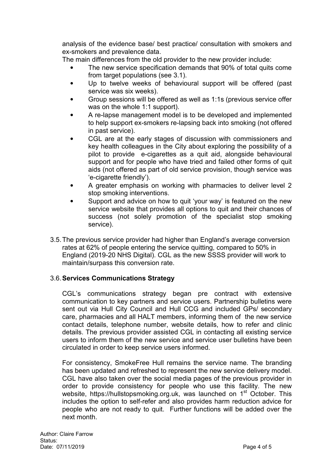analysis of the evidence base/ best practice/ consultation with smokers and ex-smokers and prevalence data.

The main differences from the old provider to the new provider include:

- The new service specification demands that 90% of total quits come from target populations (see 3.1).
- Up to twelve weeks of behavioural support will be offered (past service was six weeks).
- Group sessions will be offered as well as 1:1s (previous service offer was on the whole 1:1 support).
- A re-lapse management model is to be developed and implemented to help support ex-smokers re-lapsing back into smoking (not offered in past service).
- CGL are at the early stages of discussion with commissioners and key health colleagues in the City about exploring the possibility of a pilot to provide e-cigarettes as a quit aid, alongside behavioural support and for people who have tried and failed other forms of quit aids (not offered as part of old service provision, though service was 'e-cigarette friendly').
- A greater emphasis on working with pharmacies to deliver level 2 stop smoking interventions.
- Support and advice on how to quit 'your way' is featured on the new service website that provides all options to quit and their chances of success (not solely promotion of the specialist stop smoking service).
- 3.5. The previous service provider had higher than England's average conversion rates at 62% of people entering the service quitting, compared to 50% in England (2019-20 NHS Digital). CGL as the new SSSS provider will work to maintain/surpass this conversion rate.

# 3.6. **Services Communications Strategy**

CGL's communications strategy began pre contract with extensive communication to key partners and service users. Partnership bulletins were sent out via Hull City Council and Hull CCG and included GPs/ secondary care, pharmacies and all HALT members, informing them of the new service contact details, telephone number, website details, how to refer and clinic details. The previous provider assisted CGL in contacting all existing service users to inform them of the new service and service user bulletins have been circulated in order to keep service users informed.

For consistency, SmokeFree Hull remains the service name. The branding has been updated and refreshed to represent the new service delivery model. CGL have also taken over the social media pages of the previous provider in order to provide consistency for people who use this facility. The new website, https://hullstopsmoking.org.uk, was launched on 1<sup>st</sup> October. This includes the option to self-refer and also provides harm reduction advice for people who are not ready to quit. Further functions will be added over the next month.